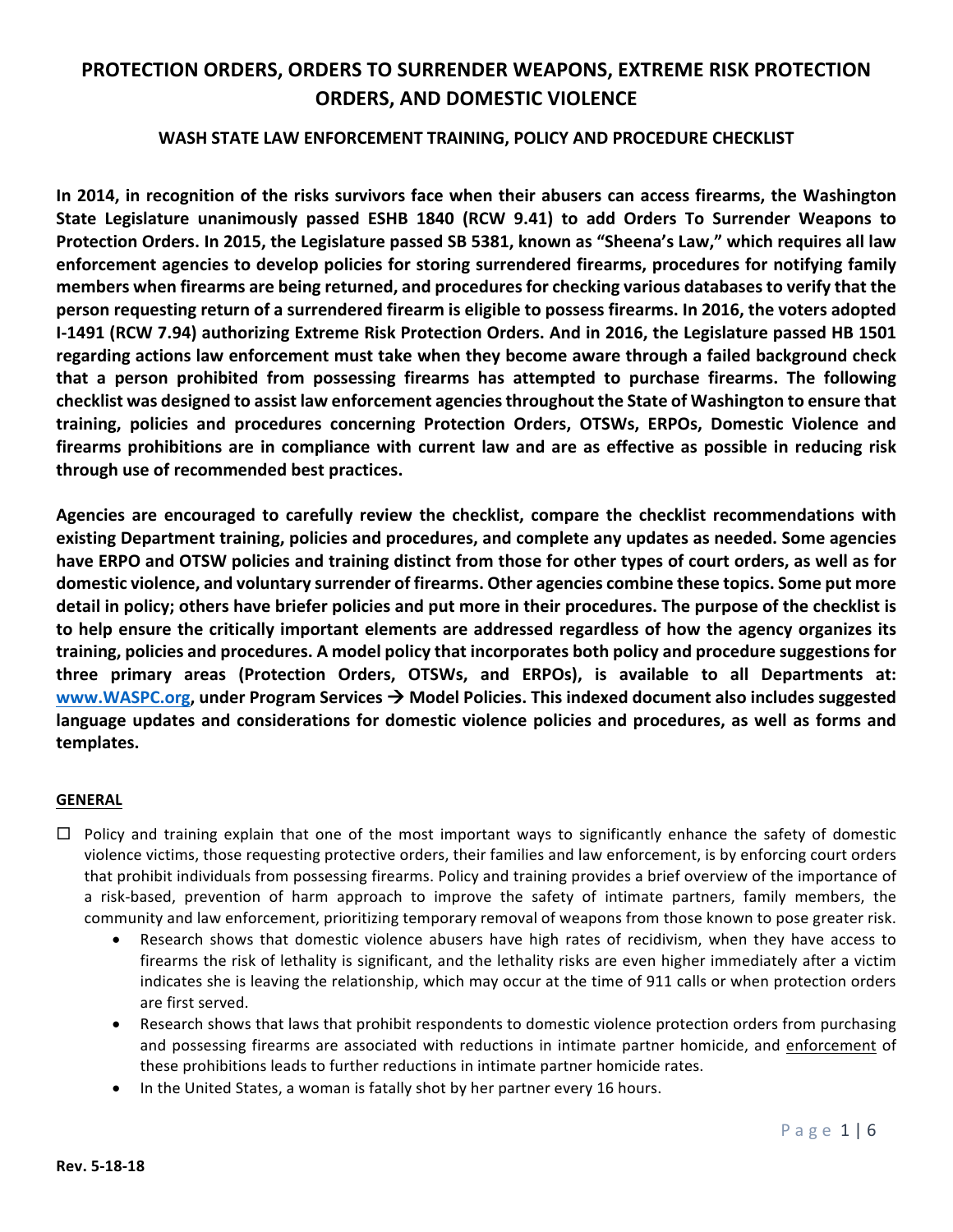### WASH STATE LAW ENFORCEMENT TRAINING, POLICY AND PROCEDURE CHECKLIST

In 2014, in recognition of the risks survivors face when their abusers can access firearms, the Washington State Legislature unanimously passed ESHB 1840 (RCW 9.41) to add Orders To Surrender Weapons to Protection Orders. In 2015, the Legislature passed SB 5381, known as "Sheena's Law," which requires all law enforcement agencies to develop policies for storing surrendered firearms, procedures for notifying family members when firearms are being returned, and procedures for checking various databases to verify that the **person requesting return of a surrendered firearm is eligible to possess firearms. In 2016, the voters adopted I-1491 (RCW 7.94) authorizing Extreme Risk Protection Orders. And in 2016, the Legislature passed HB 1501** regarding actions law enforcement must take when they become aware through a failed background check that a person prohibited from possessing firearms has attempted to purchase firearms. The following checklist was designed to assist law enforcement agencies throughout the State of Washington to ensure that **training, policies and procedures concerning Protection Orders, OTSWs, ERPOs, Domestic Violence and**  firearms prohibitions are in compliance with current law and are as effective as possible in reducing risk **through use of recommended best practices.**

Agencies are encouraged to carefully review the checklist, compare the checklist recommendations with **existing Department training, policies and procedures, and complete any updates as needed. Some agencies** have ERPO and OTSW policies and training distinct from those for other types of court orders, as well as for domestic violence, and voluntary surrender of firearms. Other agencies combine these topics. Some put more detail in policy; others have briefer policies and put more in their procedures. The purpose of the checklist is to help ensure the critically important elements are addressed regardless of how the agency organizes its training, policies and procedures. A model policy that incorporates both policy and procedure suggestions for three primary areas (Protection Orders, OTSWs, and ERPOs), is available to all Departments at: www.WASPC.org, under Program Services  $\rightarrow$  Model Policies. This indexed document also includes suggested language updates and considerations for domestic violence policies and procedures, as well as forms and **templates.**

### **GENERAL**

- $\Box$  Policy and training explain that one of the most important ways to significantly enhance the safety of domestic violence victims, those requesting protective orders, their families and law enforcement, is by enforcing court orders that prohibit individuals from possessing firearms. Policy and training provides a brief overview of the importance of a risk-based, prevention of harm approach to improve the safety of intimate partners, family members, the community and law enforcement, prioritizing temporary removal of weapons from those known to pose greater risk.
	- Research shows that domestic violence abusers have high rates of recidivism, when they have access to firearms the risk of lethality is significant, and the lethality risks are even higher immediately after a victim indicates she is leaving the relationship, which may occur at the time of 911 calls or when protection orders are first served.
	- Research shows that laws that prohibit respondents to domestic violence protection orders from purchasing and possessing firearms are associated with reductions in intimate partner homicide, and enforcement of these prohibitions leads to further reductions in intimate partner homicide rates.
	- In the United States, a woman is fatally shot by her partner every 16 hours.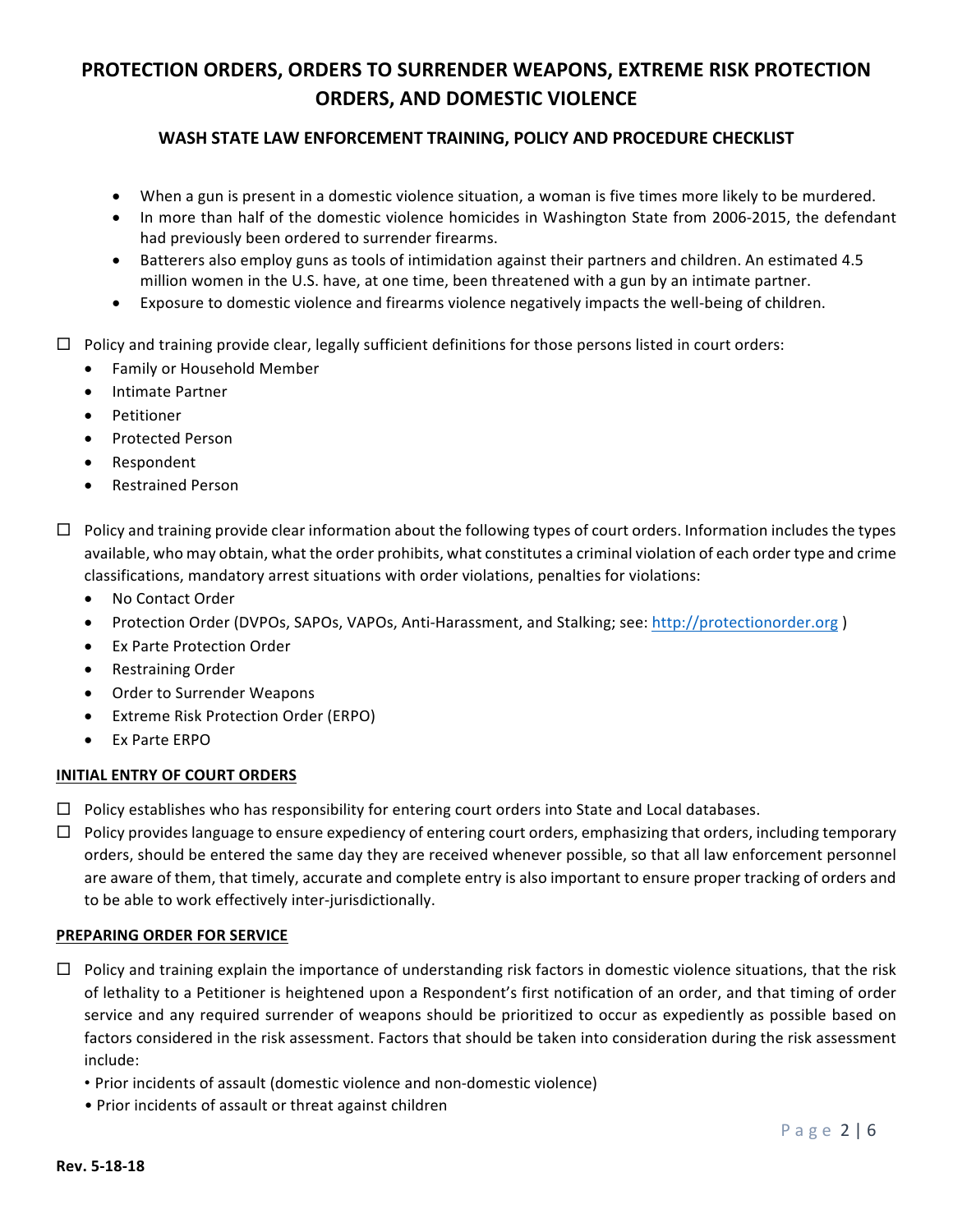## WASH STATE LAW ENFORCEMENT TRAINING, POLICY AND PROCEDURE CHECKLIST

- When a gun is present in a domestic violence situation, a woman is five times more likely to be murdered.
- In more than half of the domestic violence homicides in Washington State from 2006-2015, the defendant had previously been ordered to surrender firearms.
- Batterers also employ guns as tools of intimidation against their partners and children. An estimated 4.5 million women in the U.S. have, at one time, been threatened with a gun by an intimate partner.
- Exposure to domestic violence and firearms violence negatively impacts the well-being of children.
- $\Box$  Policy and training provide clear, legally sufficient definitions for those persons listed in court orders:
	- Family or Household Member
	- Intimate Partner
	- **Petitioner**
	- Protected Person
	- Respondent
	- Restrained Person
- $\Box$  Policy and training provide clear information about the following types of court orders. Information includes the types available, who may obtain, what the order prohibits, what constitutes a criminal violation of each order type and crime classifications, mandatory arrest situations with order violations, penalties for violations:
	- No Contact Order
	- Protection Order (DVPOs, SAPOs, VAPOs, Anti-Harassment, and Stalking; see: http://protectionorder.org )
	- **Ex Parte Protection Order**
	- Restraining Order
	- Order to Surrender Weapons
	- Extreme Risk Protection Order (ERPO)
	- **Fx Parte FRPO**

#### **INITIAL ENTRY OF COURT ORDERS**

- $\Box$  Policy establishes who has responsibility for entering court orders into State and Local databases.
- $\Box$  Policy provides language to ensure expediency of entering court orders, emphasizing that orders, including temporary orders, should be entered the same day they are received whenever possible, so that all law enforcement personnel are aware of them, that timely, accurate and complete entry is also important to ensure proper tracking of orders and to be able to work effectively inter-jurisdictionally.

#### **PREPARING ORDER FOR SERVICE**

- $\Box$  Policy and training explain the importance of understanding risk factors in domestic violence situations, that the risk of lethality to a Petitioner is heightened upon a Respondent's first notification of an order, and that timing of order service and any required surrender of weapons should be prioritized to occur as expediently as possible based on factors considered in the risk assessment. Factors that should be taken into consideration during the risk assessment include:
	- Prior incidents of assault (domestic violence and non-domestic violence)
	- Prior incidents of assault or threat against children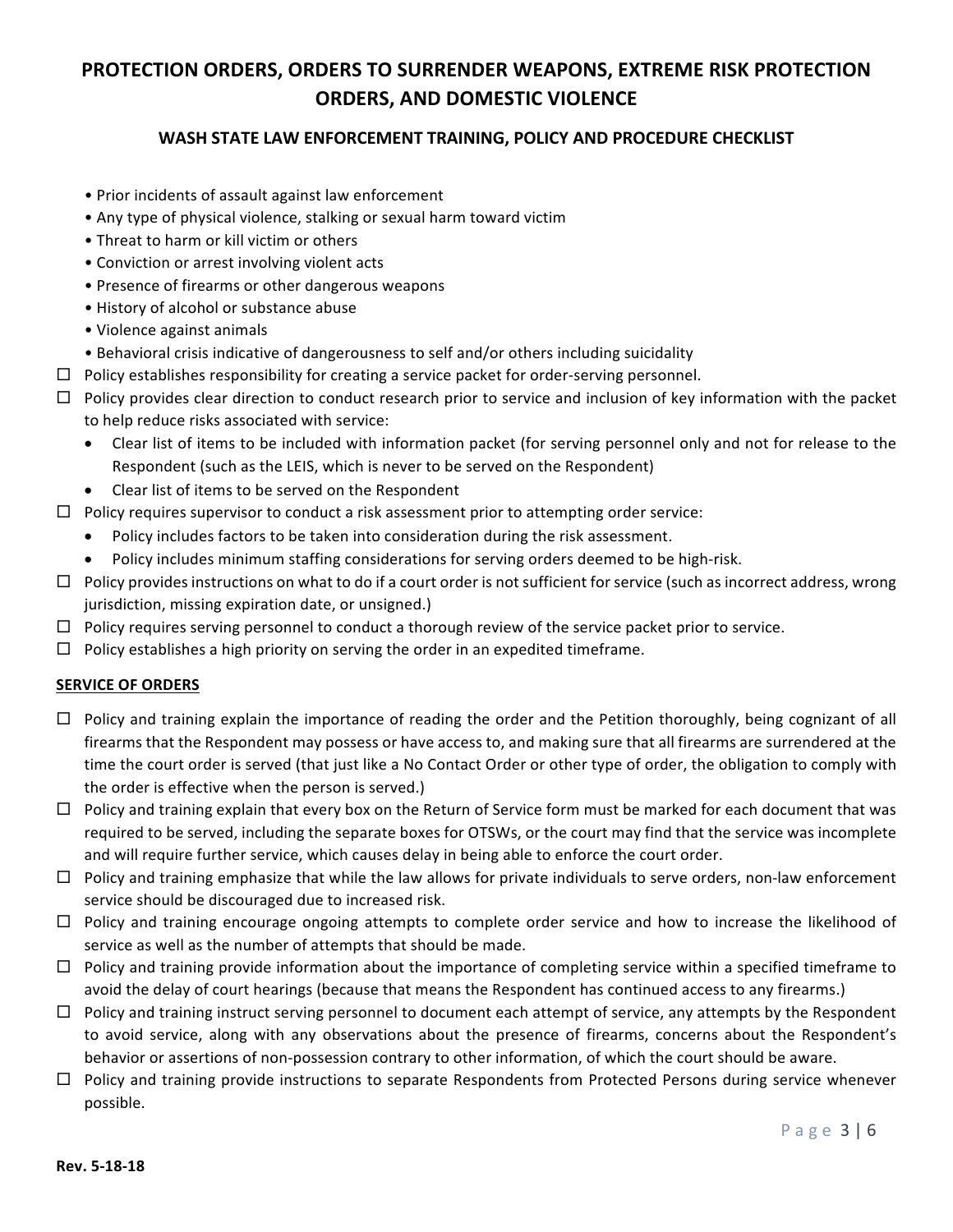## WASH STATE LAW ENFORCEMENT TRAINING, POLICY AND PROCEDURE CHECKLIST

- Prior incidents of assault against law enforcement
- Any type of physical violence, stalking or sexual harm toward victim
- Threat to harm or kill victim or others
- Conviction or arrest involving violent acts
- Presence of firearms or other dangerous weapons
- History of alcohol or substance abuse
- Violence against animals
- Behavioral crisis indicative of dangerousness to self and/or others including suicidality
- $\Box$  Policy establishes responsibility for creating a service packet for order-serving personnel.
- $\Box$  Policy provides clear direction to conduct research prior to service and inclusion of key information with the packet to help reduce risks associated with service:
	- Clear list of items to be included with information packet (for serving personnel only and not for release to the Respondent (such as the LEIS, which is never to be served on the Respondent)
	- Clear list of items to be served on the Respondent
- $\Box$  Policy requires supervisor to conduct a risk assessment prior to attempting order service:
	- Policy includes factors to be taken into consideration during the risk assessment.
	- Policy includes minimum staffing considerations for serving orders deemed to be high-risk.
- $\Box$  Policy provides instructions on what to do if a court order is not sufficient for service (such as incorrect address, wrong jurisdiction, missing expiration date, or unsigned.)
- $\Box$  Policy requires serving personnel to conduct a thorough review of the service packet prior to service.
- $\Box$  Policy establishes a high priority on serving the order in an expedited timeframe.

#### **SERVICE OF ORDERS**

- $\Box$  Policy and training explain the importance of reading the order and the Petition thoroughly, being cognizant of all firearms that the Respondent may possess or have access to, and making sure that all firearms are surrendered at the time the court order is served (that just like a No Contact Order or other type of order, the obligation to comply with the order is effective when the person is served.)
- $\Box$  Policy and training explain that every box on the Return of Service form must be marked for each document that was required to be served, including the separate boxes for OTSWs, or the court may find that the service was incomplete and will require further service, which causes delay in being able to enforce the court order.
- $\Box$  Policy and training emphasize that while the law allows for private individuals to serve orders, non-law enforcement service should be discouraged due to increased risk.
- $\Box$  Policy and training encourage ongoing attempts to complete order service and how to increase the likelihood of service as well as the number of attempts that should be made.
- $\Box$  Policy and training provide information about the importance of completing service within a specified timeframe to avoid the delay of court hearings (because that means the Respondent has continued access to any firearms.)
- $\Box$  Policy and training instruct serving personnel to document each attempt of service, any attempts by the Respondent to avoid service, along with any observations about the presence of firearms, concerns about the Respondent's behavior or assertions of non-possession contrary to other information, of which the court should be aware.
- $\Box$  Policy and training provide instructions to separate Respondents from Protected Persons during service whenever possible.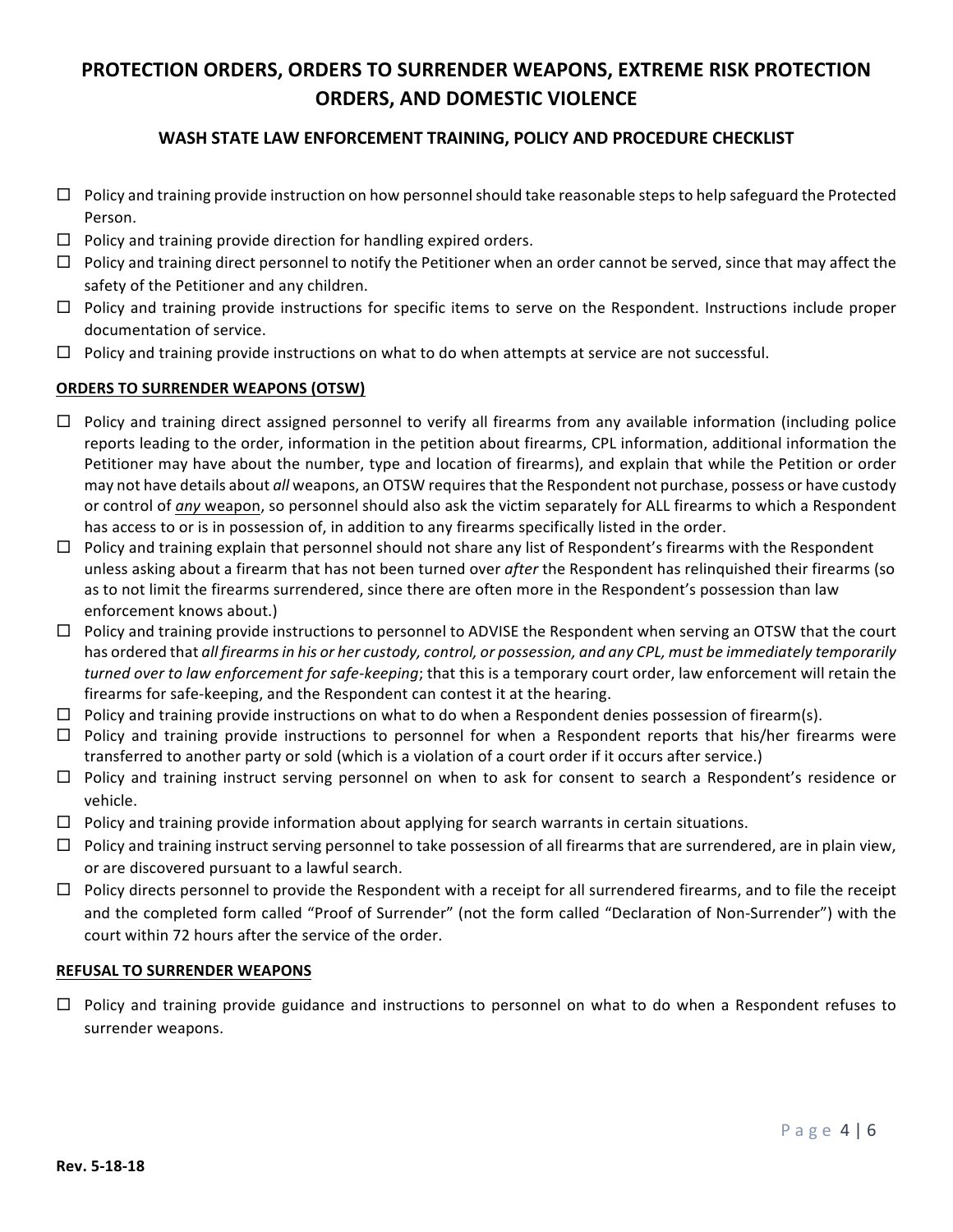## WASH STATE LAW ENFORCEMENT TRAINING, POLICY AND PROCEDURE CHECKLIST

- $\Box$  Policy and training provide instruction on how personnel should take reasonable steps to help safeguard the Protected Person.
- $\Box$  Policy and training provide direction for handling expired orders.
- $\Box$  Policy and training direct personnel to notify the Petitioner when an order cannot be served, since that may affect the safety of the Petitioner and any children.
- $\Box$  Policy and training provide instructions for specific items to serve on the Respondent. Instructions include proper documentation of service.
- $\Box$  Policy and training provide instructions on what to do when attempts at service are not successful.

### **ORDERS TO SURRENDER WEAPONS (OTSW)**

- $\Box$  Policy and training direct assigned personnel to verify all firearms from any available information (including police reports leading to the order, information in the petition about firearms, CPL information, additional information the Petitioner may have about the number, type and location of firearms), and explain that while the Petition or order may not have details about *all* weapons, an OTSW requires that the Respondent not purchase, possess or have custody or control of *any* weapon, so personnel should also ask the victim separately for ALL firearms to which a Respondent has access to or is in possession of, in addition to any firearms specifically listed in the order.
- $\Box$  Policy and training explain that personnel should not share any list of Respondent's firearms with the Respondent unless asking about a firearm that has not been turned over *after* the Respondent has relinquished their firearms (so as to not limit the firearms surrendered, since there are often more in the Respondent's possession than law enforcement knows about.)
- $\Box$  Policy and training provide instructions to personnel to ADVISE the Respondent when serving an OTSW that the court has ordered that all firearms in his or her custody, control, or possession, and any CPL, must be immediately temporarily *turned* over to law enforcement for safe-keeping; that this is a temporary court order, law enforcement will retain the firearms for safe-keeping, and the Respondent can contest it at the hearing.
- $\Box$  Policy and training provide instructions on what to do when a Respondent denies possession of firearm(s).
- $\Box$  Policy and training provide instructions to personnel for when a Respondent reports that his/her firearms were transferred to another party or sold (which is a violation of a court order if it occurs after service.)
- $\Box$  Policy and training instruct serving personnel on when to ask for consent to search a Respondent's residence or vehicle.
- $\Box$  Policy and training provide information about applying for search warrants in certain situations.
- $\Box$  Policy and training instruct serving personnel to take possession of all firearms that are surrendered, are in plain view, or are discovered pursuant to a lawful search.
- $\Box$  Policy directs personnel to provide the Respondent with a receipt for all surrendered firearms, and to file the receipt and the completed form called "Proof of Surrender" (not the form called "Declaration of Non-Surrender") with the court within 72 hours after the service of the order.

#### **REFUSAL TO SURRENDER WEAPONS**

 $\Box$  Policy and training provide guidance and instructions to personnel on what to do when a Respondent refuses to surrender weapons.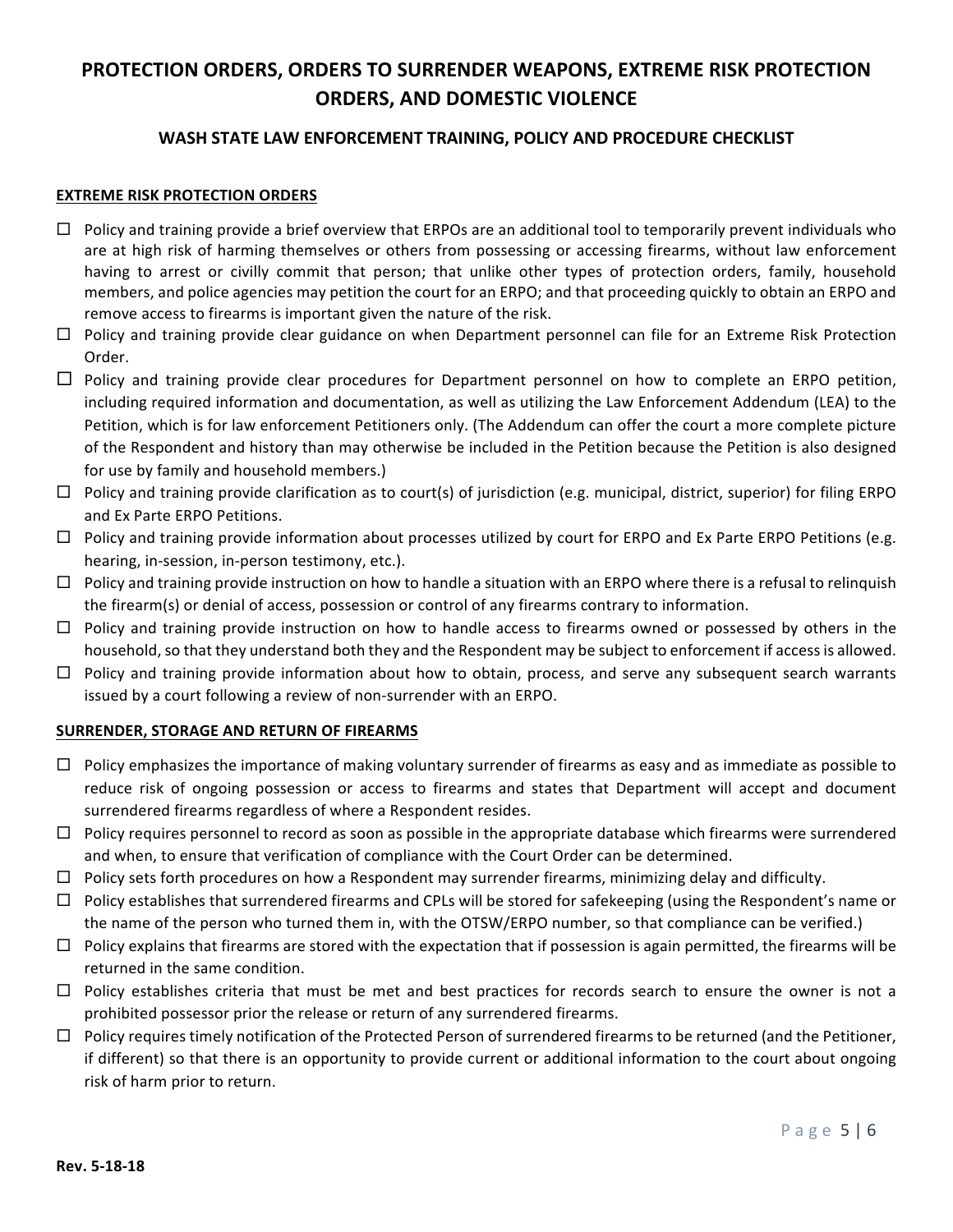## WASH STATE LAW ENFORCEMENT TRAINING, POLICY AND PROCEDURE CHECKLIST

#### **EXTREME RISK PROTECTION ORDERS**

- $\Box$  Policy and training provide a brief overview that ERPOs are an additional tool to temporarily prevent individuals who are at high risk of harming themselves or others from possessing or accessing firearms, without law enforcement having to arrest or civilly commit that person; that unlike other types of protection orders, family, household members, and police agencies may petition the court for an ERPO; and that proceeding quickly to obtain an ERPO and remove access to firearms is important given the nature of the risk.
- $\Box$  Policy and training provide clear guidance on when Department personnel can file for an Extreme Risk Protection Order.
- $\Box$  Policy and training provide clear procedures for Department personnel on how to complete an ERPO petition, including required information and documentation, as well as utilizing the Law Enforcement Addendum (LEA) to the Petition, which is for law enforcement Petitioners only. (The Addendum can offer the court a more complete picture of the Respondent and history than may otherwise be included in the Petition because the Petition is also designed for use by family and household members.)
- $\Box$  Policy and training provide clarification as to court(s) of jurisdiction (e.g. municipal, district, superior) for filing ERPO and Ex Parte ERPO Petitions.
- $\Box$  Policy and training provide information about processes utilized by court for ERPO and Ex Parte ERPO Petitions (e.g. hearing, in-session, in-person testimony, etc.).
- $\Box$  Policy and training provide instruction on how to handle a situation with an ERPO where there is a refusal to relinquish the firearm(s) or denial of access, possession or control of any firearms contrary to information.
- $\Box$  Policy and training provide instruction on how to handle access to firearms owned or possessed by others in the household, so that they understand both they and the Respondent may be subject to enforcement if access is allowed.
- $\Box$  Policy and training provide information about how to obtain, process, and serve any subsequent search warrants issued by a court following a review of non-surrender with an ERPO.

### **SURRENDER, STORAGE AND RETURN OF FIREARMS**

- $\Box$  Policy emphasizes the importance of making voluntary surrender of firearms as easy and as immediate as possible to reduce risk of ongoing possession or access to firearms and states that Department will accept and document surrendered firearms regardless of where a Respondent resides.
- $\Box$  Policy requires personnel to record as soon as possible in the appropriate database which firearms were surrendered and when, to ensure that verification of compliance with the Court Order can be determined.
- $\Box$  Policy sets forth procedures on how a Respondent may surrender firearms, minimizing delay and difficulty.
- $\Box$  Policy establishes that surrendered firearms and CPLs will be stored for safekeeping (using the Respondent's name or the name of the person who turned them in, with the OTSW/ERPO number, so that compliance can be verified.)
- $\Box$  Policy explains that firearms are stored with the expectation that if possession is again permitted, the firearms will be returned in the same condition.
- $\Box$  Policy establishes criteria that must be met and best practices for records search to ensure the owner is not a prohibited possessor prior the release or return of any surrendered firearms.
- $\Box$  Policy requires timely notification of the Protected Person of surrendered firearms to be returned (and the Petitioner, if different) so that there is an opportunity to provide current or additional information to the court about ongoing risk of harm prior to return.